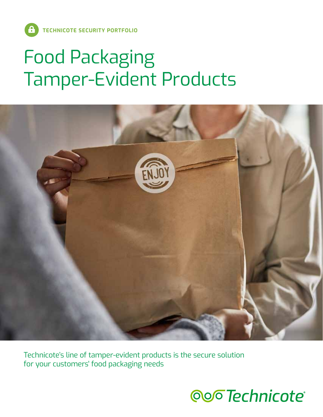# Food Packaging Tamper-Evident Products



Technicote's line of tamper-evident products is the secure solution for your customers' food packaging needs